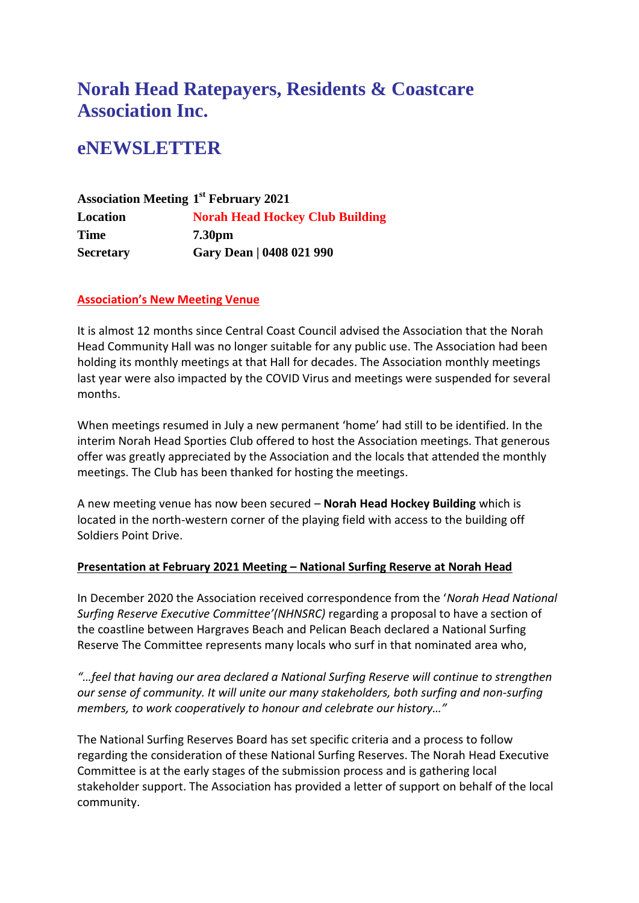# **Norah Head Ratepayers, Residents & Coastcare Association Inc.**

# **eNEWSLETTER**

**Association Meeting 1 st February 2021 Location Norah Head Hockey Club Building Time 7.30pm Secretary Gary Dean | 0408 021 990**

#### **Association's New Meeting Venue**

It is almost 12 months since Central Coast Council advised the Association that the Norah Head Community Hall was no longer suitable for any public use. The Association had been holding its monthly meetings at that Hall for decades. The Association monthly meetings last year were also impacted by the COVID Virus and meetings were suspended for several months.

When meetings resumed in July a new permanent 'home' had still to be identified. In the interim Norah Head Sporties Club offered to host the Association meetings. That generous offer was greatly appreciated by the Association and the locals that attended the monthly meetings. The Club has been thanked for hosting the meetings.

A new meeting venue has now been secured – **Norah Head Hockey Building** which is located in the north-western corner of the playing field with access to the building off Soldiers Point Drive.

#### **Presentation at February 2021 Meeting – National Surfing Reserve at Norah Head**

In December 2020 the Association received correspondence from the '*Norah Head National Surfing Reserve Executive Committee'(NHNSRC)* regarding a proposal to have a section of the coastline between Hargraves Beach and Pelican Beach declared a National Surfing Reserve The Committee represents many locals who surf in that nominated area who,

*"…feel that having our area declared a National Surfing Reserve will continue to strengthen our sense of community. It will unite our many stakeholders, both surfing and non-surfing members, to work cooperatively to honour and celebrate our history…"*

The National Surfing Reserves Board has set specific criteria and a process to follow regarding the consideration of these National Surfing Reserves. The Norah Head Executive Committee is at the early stages of the submission process and is gathering local stakeholder support. The Association has provided a letter of support on behalf of the local community.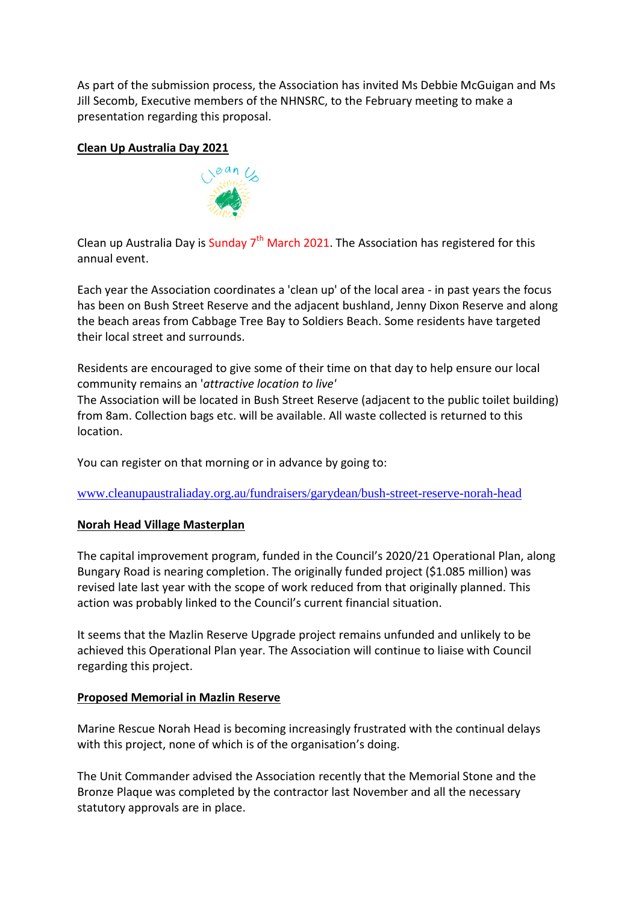As part of the submission process, the Association has invited Ms Debbie McGuigan and Ms Jill Secomb, Executive members of the NHNSRC, to the February meeting to make a presentation regarding this proposal.

## **Clean Up Australia Day 2021**



Clean up Australia Day is Sunday  $7<sup>th</sup>$  March 2021. The Association has registered for this annual event.

Each year the Association coordinates a 'clean up' of the local area - in past years the focus has been on Bush Street Reserve and the adjacent bushland, Jenny Dixon Reserve and along the beach areas from Cabbage Tree Bay to Soldiers Beach. Some residents have targeted their local street and surrounds.

Residents are encouraged to give some of their time on that day to help ensure our local community remains an '*attractive location to live'*

The Association will be located in Bush Street Reserve (adjacent to the public toilet building) from 8am. Collection bags etc. will be available. All waste collected is returned to this location.

You can register on that morning or in advance by going to:

[www.cleanupaustraliaday.org.au/fundraisers/garydean/bush-street-reserve-norah-head](http://www.cleanupaustraliaday.org.au/fundraisers/garydean/bush-street-reserve-norah-head)

### **Norah Head Village Masterplan**

The capital improvement program, funded in the Council's 2020/21 Operational Plan, along Bungary Road is nearing completion. The originally funded project (\$1.085 million) was revised late last year with the scope of work reduced from that originally planned. This action was probably linked to the Council's current financial situation.

It seems that the Mazlin Reserve Upgrade project remains unfunded and unlikely to be achieved this Operational Plan year. The Association will continue to liaise with Council regarding this project.

### **Proposed Memorial in Mazlin Reserve**

Marine Rescue Norah Head is becoming increasingly frustrated with the continual delays with this project, none of which is of the organisation's doing.

The Unit Commander advised the Association recently that the Memorial Stone and the Bronze Plaque was completed by the contractor last November and all the necessary statutory approvals are in place.